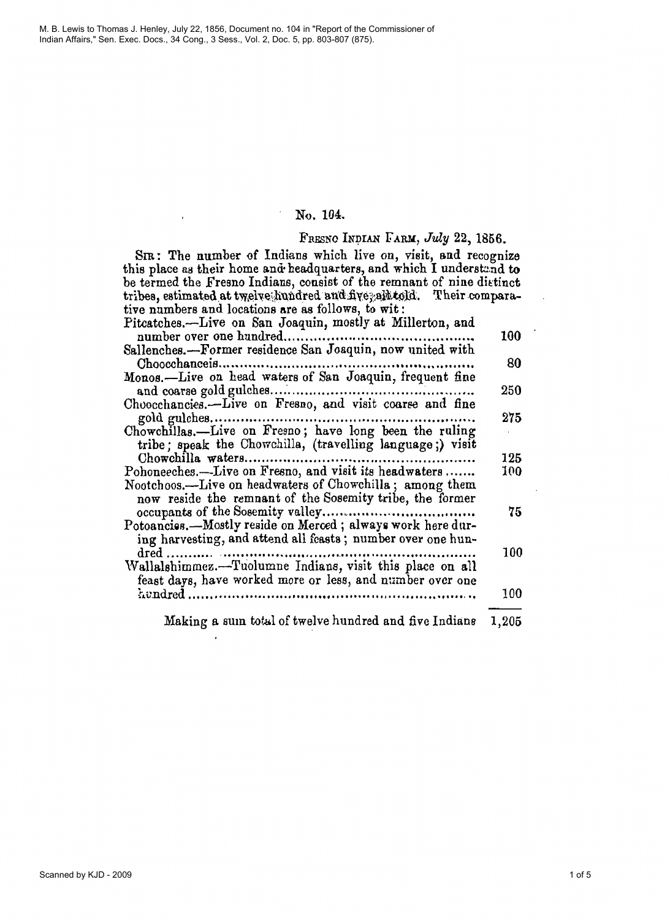M. B. Lewis to Thomas J. Henley, July 22, 1856, Document no. 104 in "Report of the Commissioner of Indian Affairs," Sen. Exec. Docs., 34 Cong., 3 Sess., Vol. 2, Doc. 5, pp. 803-807 (875).

# No. 104.

### FRESNO INDIAN FARM, July 22, 1856.

SIR: The number of Indians which live on, visit, and recognize this place as their home and headquarters, and which I understand to be termed the Fresno Indians, consist of the remnant of nine distinct tribes, estimated at twelve hundred and five, all told. Their comparative numbers and locations are as follows, to wit: Pitcatches.—Live on San Joaquin, mostly at Millerton, and 100 Sallenches.---Former residence San Joaquin, now united with 80 Monos.-Live on head waters of San Joaquin, frequent fine 250 Choocchancies.--Live on Fresno, and visit coarse and fine 275 Chowchillas.—Live on Fresno; have long been the ruling tribe; speak the Chowchilla, (travelling language;) visit 125 Pohoneeches.-Live on Fresno, and visit its headwaters....... 100 Nootchoos.--Live on headwaters of Chowchilla; among them now reside the remnant of the Sosemity tribe, the former 75

| Potoancies.—Mostly reside on Merced; always work here dur-                                                            |     |
|-----------------------------------------------------------------------------------------------------------------------|-----|
| ing harvesting, and attend all feasts; number over one hun-                                                           |     |
|                                                                                                                       | 100 |
| Wallalshimmez.-Tuolumne Indians, visit this place on all<br>feast days, have worked more or less, and number over one |     |
|                                                                                                                       | 100 |
|                                                                                                                       |     |

Making a sum total of twelve hundred and five Indians 1,205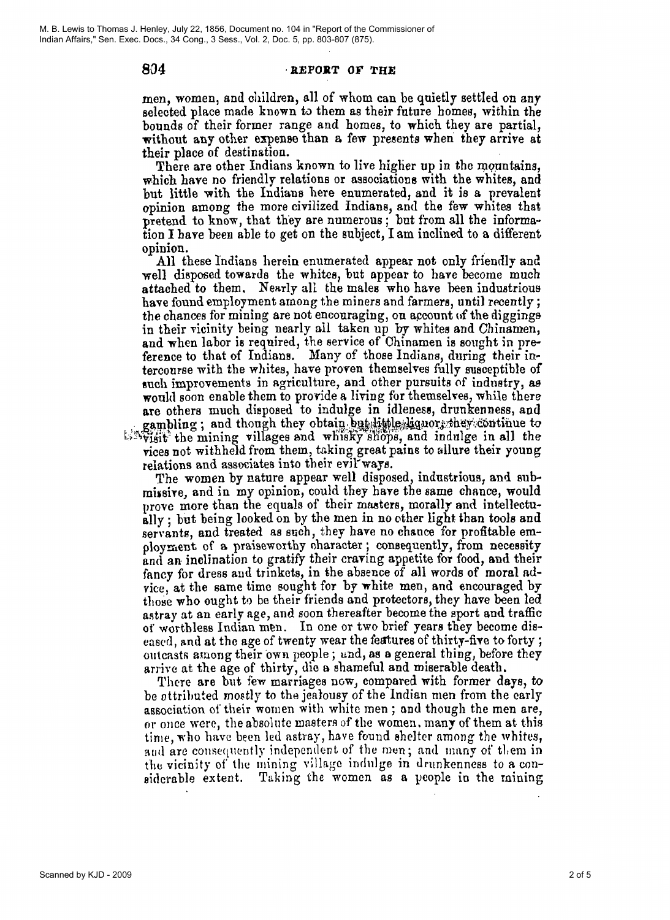804

#### **REPORT OF THE**

men, women, and children, all of whom can be quietly settled on any selected place made known to them as their future homes, within the bounds of their former range and homes, to which they are partial, without any other expense than a few presents when they arrive at their place of destination.

There are other Indians known to live higher up in the mountains, which have no friendly relations or associations with the whites, and but little with the Indians here enumerated, and it is a prevalent opinion among the more civilized Indians, and the few whites that pretend to know, that they are numerous; but from all the informa-<br>tion I have been able to get on the subject, I am inclined to a different opinion.

All these Indians herein enumerated appear not only friendly and well disposed towards the whites, but appear to have become much attached to them. Nearly all the males who have been industrious have found employment among the miners and farmers, until recently; the chances for mining are not encouraging, on account of the diggings in their vicinity being nearly all taken up by whites and Chinamen, and when labor is required, the service of Chinamen is sought in preference to that of Indians. Many of those Indians, during their intercourse with the whites, have proven themselves fully susceptible of such improvements in agriculture, and other pursuits of industry, as would soon enable them to provide a living for themselves, while there are others much disposed to indulge in idleness, drunkenness, and gambling; and though they obtain but little liquors they continue to savvisit the mining villages and whisky shops, and indulge in all the vices not withheld from them, taking great pains to allure their young relations and associates into their evil ways.

The women by nature appear well disposed, industrious, and submissive, and in my opinion, could they have the same chance, would prove more than the equals of their masters, morally and intellectually; but being looked on by the men in no other light than tools and servants, and treated as such, they have no chance for profitable employment of a praiseworthy character; consequently, from necessity and an inclination to gratify their craving appetite for food, and their fancy for dress and trinkets, in the absence of all words of moral advice, at the same time sought for by white men, and encouraged by those who ought to be their friends and protectors, they have been led astray at an early age, and soon thereafter become the sport and traffic of worthless Indian men. In one or two brief years they become diseased, and at the age of twenty wear the features of thirty-five to forty; outcasts among their own people; and, as a general thing, before they arrive at the age of thirty, die a shameful and miserable death.

There are but few marriages now, compared with former days, to be ottributed mostly to the jealousy of the Indian men from the early association of their women with white men; and though the men are, or once were, the absolute masters of the women, many of them at this time, who have been led astray, have found shelter among the whites, and are consequently independent of the men; and many of them in the vicinity of the mining village indulge in drunkenness to a considerable extent. Taking the women as a people in the mining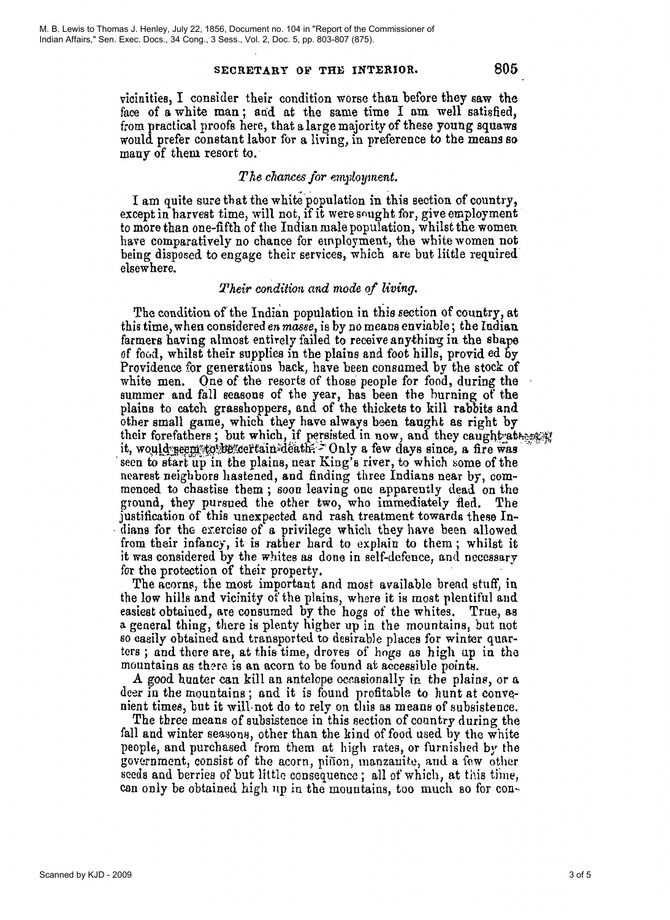#### SECRETARY OF THE INTERIOR.

vicinities, I consider their condition worse than before they saw the face of a white man; and at the same time I am well satisfied, from practical proofs here, that a large majority of these young squaws would prefer constant labor for a living, in preference to the means so many of them resort to.

### $The$  chances for employment.

I am quite sure that the white population in this section of country, except in harvest time, will not, if it were sought for, give employment to more than one-fifth of the Indian male population, whilst the women have comparatively no chance for employment, the white women not being disposed to engage their services, which are but little required elsewhere.

#### Their condition and mode of living.

The condition of the Indian population in this section of country, at this time, when considered en masse, is by no means enviable; the Indian farmers having almost entirely failed to receive anything in the shape of food, whilst their supplies in the plains and foot hills, provided by Providence for generations back, have been consumed by the stock of white men. One of the resorts of those people for food, during the summer and fall seasons of the year, has been the burning of the plains to catch grasshoppers, and of the thickets to kill rabbits and other small game, which they have always been taught as right by their forefathers; but which, if persisted in now, and they caught attential it, would neem to be certain death. Only a few days since, a fire was seen to start up in the plains, near King's river, to which some of the nearest neighbors hastened, and finding three Indians near by, commenced to chastise them; soon leaving one apparently dead on the ground, they pursued the other two, who immediately fled. The justification of this unexpected and rash treatment towards these Indians for the exercise of a privilege which they have been allowed from their infancy, it is rather hard to explain to them; whilst it it was considered by the whites as done in self-defence, and necessary for the protection of their property.

The acorns, the most important and most available bread stuff, in the low hills and vicinity of the plains, where it is most plentiful and easiest obtained, are consumed by the hogs of the whites. True, as a general thing, there is plenty higher up in the mountains, but not so easily obtained and transported to desirable places for winter quarters; and there are, at this time, droves of hogs as high up in the mountains as there is an acorn to be found at accessible points.

A good hunter can kill an antelope occasionally in the plains, or a deer in the mountains; and it is found profitable to hunt at convenient times, but it will not do to rely on this as means of subsistence.

The three means of subsistence in this section of country during the fall and winter seasons, other than the kind of food used by the white people, and purchased from them at high rates, or furnished by the government, consist of the acorn, pinon, manzanite, and a few other seeds and berries of but little consequence; all of which, at this time, can only be obtained high up in the mountains, too much so for con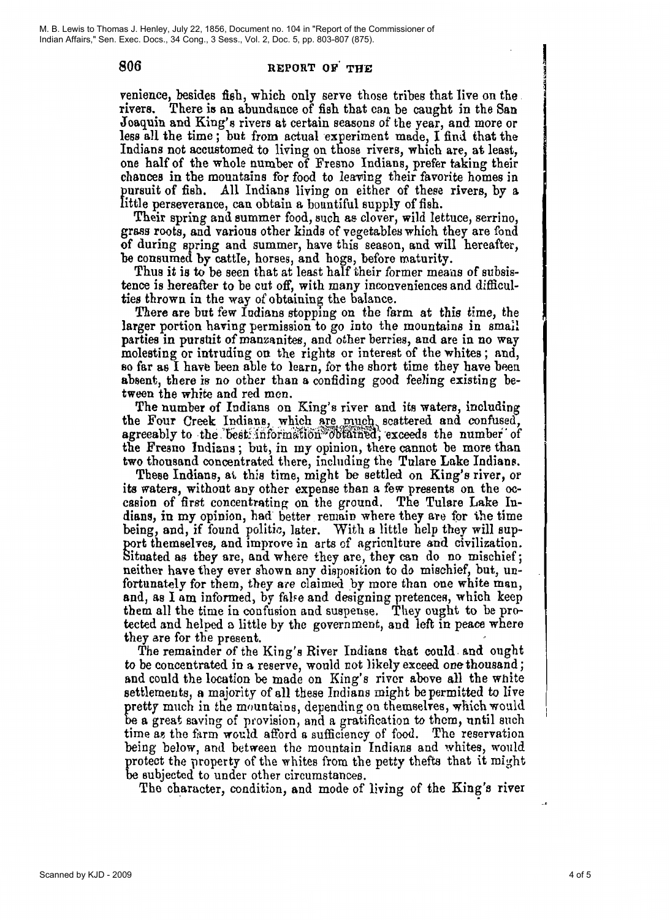806

### REPORT OF THE

venience, besides fish, which only serve those tribes that live on the. rivers. There is an abundance of fish that can be caught in the San Joaquin and King's rivers at certain seasons of the year, and more or less all the time; but from actual experiment made, I find that the Indians not accustomed to living on those rivers, which are, at least, one half of the whole number of Fresno Indians, prefer taking their chances in the mountains for food to leaving their favorite homes in pursuit of fish. All Indians living on either of these rivers, by a little perseverance, can obtain a bountiful supply of fish.

Their spring and summer food, such as clover, wild lettuce, serrino, grass roots, and various other kinds of vegetables which they are fond of during spring and summer, have this season, and will hereafter, be consumed by cattle, horses, and hogs, before maturity.

Thus it is to be seen that at least half their former means of subsistence is hereafter to be cut off, with many inconveniences and difficulties thrown in the way of obtaining the balance.

There are but few Indians stopping on the farm at this time, the larger portion having permission to go into the mountains in small parties in purstit of manzanites, and other berries, and are in no way molesting or intruding on the rights or interest of the whites; and, so far as I have been able to learn, for the short time they have been absent, there is no other than a confiding good feeling existing between the white and red men.

The number of Indians on King's river and its waters, including the Four Creek Indians, which are much scattered and confused, agreeably to the best information obtained, exceeds the number of the Fresno Indians; but, in my opinion, there cannot be more than two thousand concentrated there, including the Tulare Lake Indians.

These Indians, at this time, might be settled on King's river, or its waters, without any other expense than a few presents on the occasion of first concentrating on the ground. The Tulare Lake Indians, in my opinion, had better remain where they are for the time being, and, if found politic, later. With a little help they will support themselves, and improve in arts of agriculture and civilization. Situated as they are, and where they are, they can do no mischief; neither have they ever shown any disposition to do mischief, but, unfortunately for them, they are claimed by more than one white man, and, as I am informed, by false and designing pretences, which keep them all the time in confusion and suspense. They ought to be protected and helped a little by the government, and left in peace where they are for the present.

The remainder of the King's River Indians that could and ought to be concentrated in a reserve, would not likely exceed one thousand; and could the location be made on King's river above all the white settlements, a majority of all these Indians might be permitted to live pretty much in the mountains, depending on themselves, which would be a great saving of provision, and a gratification to them, until such time as the farm would afford a sufficiency of food. The reservation being below, and between the mountain Indians and whites, would protect the property of the whites from the petty thefts that it might be subjected to under other circumstances.

The character, condition, and mode of living of the King's river